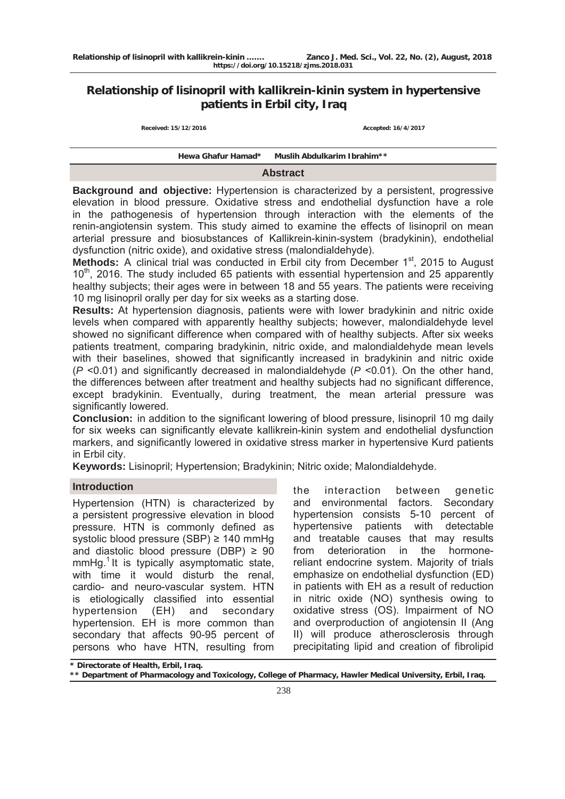# **Relationship of lisinopril with kallikrein-kinin system in hypertensive patients in Erbil city, Iraq**

| Received: 15/12/2016 |  |  |
|----------------------|--|--|
|----------------------|--|--|

**Received: 15/12/2016 Accepted: 16/4/2017**

#### **Hewa Ghafur Hamad\* Muslih Abdulkarim Ibrahim\*\***

### **Abstract**

**Background and objective:** Hypertension is characterized by a persistent, progressive elevation in blood pressure. Oxidative stress and endothelial dysfunction have a role in the pathogenesis of hypertension through interaction with the elements of the renin-angiotensin system. This study aimed to examine the effects of lisinopril on mean arterial pressure and biosubstances of Kallikrein-kinin-system (bradykinin), endothelial dysfunction (nitric oxide), and oxidative stress (malondialdehyde).

**Methods:** A clinical trial was conducted in Erbil city from December 1<sup>st</sup>, 2015 to August 10<sup>th</sup>, 2016. The study included 65 patients with essential hypertension and 25 apparently healthy subjects; their ages were in between 18 and 55 years. The patients were receiving 10 mg lisinopril orally per day for six weeks as a starting dose.

**Results:** At hypertension diagnosis, patients were with lower bradykinin and nitric oxide levels when compared with apparently healthy subjects; however, malondialdehyde level showed no significant difference when compared with of healthy subjects. After six weeks patients treatment, comparing bradykinin, nitric oxide, and malondialdehyde mean levels with their baselines, showed that significantly increased in bradykinin and nitric oxide (*P* <0.01) and significantly decreased in malondialdehyde (*P* <0.01). On the other hand, the differences between after treatment and healthy subjects had no significant difference, except bradykinin. Eventually, during treatment, the mean arterial pressure was significantly lowered.

**Conclusion:** in addition to the significant lowering of blood pressure, lisinopril 10 mg daily for six weeks can significantly elevate kallikrein-kinin system and endothelial dysfunction markers, and significantly lowered in oxidative stress marker in hypertensive Kurd patients in Erbil city.

**Keywords:** Lisinopril; Hypertension; Bradykinin; Nitric oxide; Malondialdehyde.

### **Introduction**

Hypertension (HTN) is characterized by a persistent progressive elevation in blood pressure. HTN is commonly defined as systolic blood pressure (SBP) ≥ 140 mmHg and diastolic blood pressure (DBP)  $\geq 90$  $mmHg<sup>1</sup>$  It is typically asymptomatic state, with time it would disturb the renal. cardio- and neuro-vascular system. HTN is etiologically classified into essential hypertension (EH) and secondary hypertension. EH is more common than secondary that affects 90-95 percent of persons who have HTN, resulting from the interaction between genetic and environmental factors. Secondary hypertension consists 5-10 percent of hypertensive patients with detectable and treatable causes that may results from deterioration in the hormonereliant endocrine system. Majority of trials emphasize on endothelial dysfunction (ED) in patients with EH as a result of reduction in nitric oxide (NO) synthesis owing to oxidative stress (OS). Impairment of NO and overproduction of angiotensin II (Ang II) will produce atherosclerosis through precipitating lipid and creation of fibrolipid

**<sup>\*</sup> Directorate of Health, Erbil, Iraq.** 

**<sup>\*\*</sup> Department of Pharmacology and Toxicology, College of Pharmacy, Hawler Medical University, Erbil, Iraq.**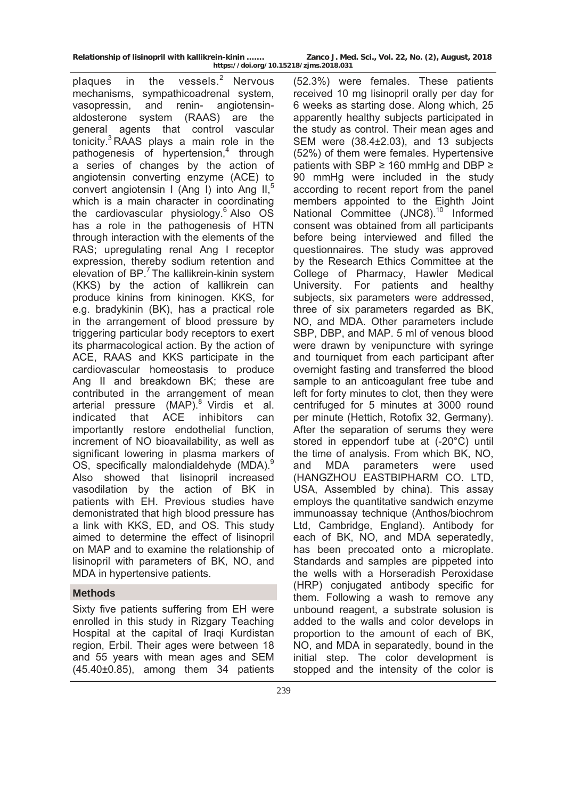**Relationship of lisinopril with kallikrein-kinin ……. Zanco J. Med. Sci., Vol. 22, No. (2), August, 2018 https://doi.org/10.15218/zjms.2018.031**

plaques in the vessels. $2$  Nervous mechanisms, sympathicoadrenal system, vasopressin, and renin- angiotensinaldosterone system (RAAS) are the general agents that control vascular tonicity. $3$  RAAS plays a main role in the pathogenesis of hypertension,<sup>4</sup> through a series of changes by the action of angiotensin converting enzyme (ACE) to convert angiotensin I (Ang I) into Ang II, $5$ which is a main character in coordinating the cardiovascular physiology. $6$  Also OS has a role in the pathogenesis of HTN through interaction with the elements of the RAS; upregulating renal Ang I receptor expression, thereby sodium retention and elevation of  $BP^7$  The kallikrein-kinin system (KKS) by the action of kallikrein can produce kinins from kininogen. KKS, for e.g. bradykinin (BK), has a practical role in the arrangement of blood pressure by triggering particular body receptors to exert its pharmacological action. By the action of ACE, RAAS and KKS participate in the cardiovascular homeostasis to produce Ang II and breakdown BK; these are contributed in the arrangement of mean arterial pressure  $(MAP)$ .<sup>8</sup> Virdis et al. indicated that ACE inhibitors can importantly restore endothelial function, increment of NO bioavailability, as well as significant lowering in plasma markers of OS, specifically malondialdehyde (MDA).<sup>9</sup> Also showed that lisinopril increased vasodilation by the action of BK in patients with EH. Previous studies have demonistrated that high blood pressure has a link with KKS, ED, and OS. This study aimed to determine the effect of lisinopril on MAP and to examine the relationship of lisinopril with parameters of BK, NO, and MDA in hypertensive patients.

# **Methods**

Sixty five patients suffering from EH were enrolled in this study in Rizgary Teaching Hospital at the capital of Iraqi Kurdistan region, Erbil. Their ages were between 18 and 55 years with mean ages and SEM (45.40±0.85), among them 34 patients

(52.3%) were females. These patients received 10 mg lisinopril orally per day for 6 weeks as starting dose. Along which, 25 apparently healthy subjects participated in the study as control. Their mean ages and SEM were (38.4±2.03), and 13 subjects (52%) of them were females. Hypertensive patients with SBP ≥ 160 mmHg and DBP ≥ 90 mmHg were included in the study according to recent report from the panel members appointed to the Eighth Joint National Committee (JNC8).<sup>10</sup> Informed consent was obtained from all participants before being interviewed and filled the questionnaires. The study was approved by the Research Ethics Committee at the College of Pharmacy, Hawler Medical University. For patients and healthy subjects, six parameters were addressed, three of six parameters regarded as BK, NO, and MDA. Other parameters include SBP, DBP, and MAP. 5 ml of venous blood were drawn by venipuncture with syringe and tourniquet from each participant after overnight fasting and transferred the blood sample to an anticoagulant free tube and left for forty minutes to clot, then they were centrifuged for 5 minutes at 3000 round per minute (Hettich, Rotofix 32, Germany). After the separation of serums they were stored in eppendorf tube at (-20°C) until the time of analysis. From which BK, NO, and MDA parameters were used (HANGZHOU EASTBIPHARM CO. LTD, USA, Assembled by china). This assay employs the quantitative sandwich enzyme immunoassay technique (Anthos/biochrom Ltd, Cambridge, England). Antibody for each of BK, NO, and MDA seperatedly, has been precoated onto a microplate. Standards and samples are pippeted into the wells with a Horseradish Peroxidase (HRP) conjugated antibody specific for them. Following a wash to remove any unbound reagent, a substrate solusion is added to the walls and color develops in proportion to the amount of each of BK, NO, and MDA in separatedly, bound in the initial step. The color development is stopped and the intensity of the color is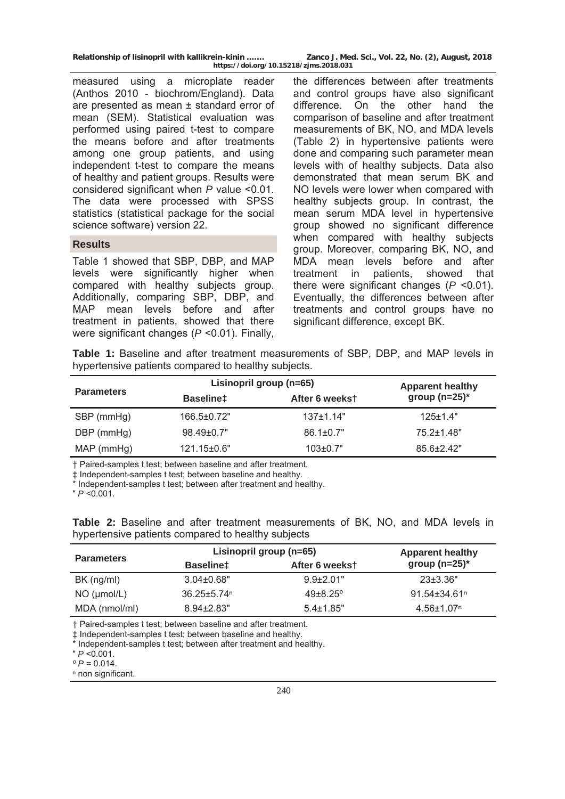| Relationship of lisinopril with kallikrein-kinin | Zanco J. Med. Sci., Vol. 22, No. (2), August, 2018 |  |  |  |  |
|--------------------------------------------------|----------------------------------------------------|--|--|--|--|
| https://doi.org/10.15218/zjms.2018.031           |                                                    |  |  |  |  |

measured using a microplate reader (Anthos 2010 - biochrom/England). Data are presented as mean ± standard error of mean (SEM). Statistical evaluation was performed using paired t-test to compare the means before and after treatments among one group patients, and using independent t-test to compare the means of healthy and patient groups. Results were considered significant when *P* value <0.01. The data were processed with SPSS statistics (statistical package for the social science software) version 22.

### **Results**

Table 1 showed that SBP, DBP, and MAP levels were significantly higher when compared with healthy subjects group. Additionally, comparing SBP, DBP, and MAP mean levels before and after treatment in patients, showed that there were significant changes (*P* <0.01). Finally,

the differences between after treatments and control groups have also significant difference. On the other hand the comparison of baseline and after treatment measurements of BK, NO, and MDA levels (Table 2) in hypertensive patients were done and comparing such parameter mean levels with of healthy subjects. Data also demonstrated that mean serum BK and NO levels were lower when compared with healthy subjects group. In contrast, the mean serum MDA level in hypertensive group showed no significant difference when compared with healthy subjects group. Moreover, comparing BK, NO, and MDA mean levels before and after treatment in patients, showed that there were significant changes (*P* <0.01). Eventually, the differences between after treatments and control groups have no significant difference, except BK.

**Table 1:** Baseline and after treatment measurements of SBP, DBP, and MAP levels in hypertensive patients compared to healthy subjects.

| <b>Parameters</b> |                   | Lisinopril group (n=65) |                   |
|-------------------|-------------------|-------------------------|-------------------|
|                   | <b>Baselinet</b>  | After 6 weekst          | group $(n=25)^*$  |
| SBP (mmHg)        | 166.5±0.72"       | $137 \pm 1.14"$         | $125 \pm 1.4"$    |
| DBP (mmHg)        | $98.49 \pm 0.7$ " | $86.1 \pm 0.7"$         | $75.2 \pm 1.48$ " |
| $MAP$ (mmHg)      | 121.15±0.6"       | $103 \pm 0.7"$          | $85.6 + 2.42$ "   |

† Paired-samples t test; between baseline and after treatment.

‡ Independent-samples t test; between baseline and healthy.

Independent-samples t test; between after treatment and healthy.

" *P* <0.001.

**Table 2:** Baseline and after treatment measurements of BK, NO, and MDA levels in hypertensive patients compared to healthy subjects

| <b>Parameters</b> | Lisinopril group (n=65)     |                     | <b>Apparent healthy</b>        |
|-------------------|-----------------------------|---------------------|--------------------------------|
|                   | <b>Baselinet</b>            | After 6 weekst      | group $(n=25)^*$               |
| $BK$ (ng/ml)      | $3.04 \pm 0.68"$            | $9.9\pm2.01"$       | $23\pm3.36"$                   |
| $NO$ ( $µmol/L$ ) | $36.25 + 5.74$ <sup>n</sup> | $49 + 8.25^{\circ}$ | $91.54 \pm 34.61$ <sup>n</sup> |
| MDA (nmol/ml)     | $8.94 \pm 2.83$ "           | $5.4 \pm 1.85$ "    | $4.56 \pm 1.07$ <sup>n</sup>   |

† Paired-samples t test; between baseline and after treatment.

‡ Independent-samples t test; between baseline and healthy.

Independent-samples t test; between after treatment and healthy.

" *P* <0.001.

 $^{\circ}P = 0.014$ .

n non significant.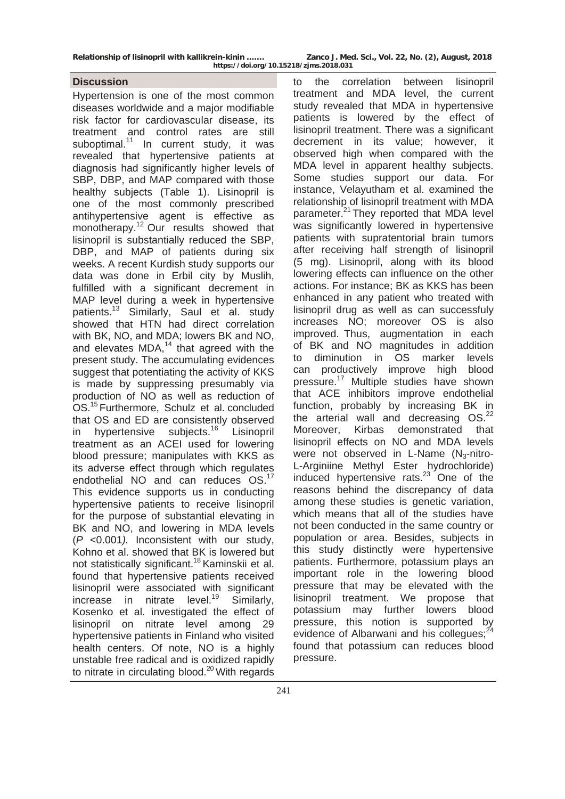**Relationship of lisinopril with kallikrein-kinin ……. Zanco J. Med. Sci., Vol. 22, No. (2), August, 2018 https://doi.org/10.15218/zjms.2018.031**

## **Discussion**

Hypertension is one of the most common diseases worldwide and a major modifiable risk factor for cardiovascular disease, its treatment and control rates are still suboptimal. $11$  In current study, it was revealed that hypertensive patients at diagnosis had significantly higher levels of SBP, DBP, and MAP compared with those healthy subjects (Table 1). Lisinopril is one of the most commonly prescribed antihypertensive agent is effective as monotherapy.<sup>12</sup> Our results showed that lisinopril is substantially reduced the SBP, DBP, and MAP of patients during six weeks. A recent Kurdish study supports our data was done in Erbil city by Muslih, fulfilled with a significant decrement in MAP level during a week in hypertensive patients.<sup>13</sup> Similarly, Saul et al. study showed that HTN had direct correlation with BK, NO, and MDA; lowers BK and NO, and elevates  $MDA<sub>14</sub>$  that agreed with the present study. The accumulating evidences suggest that potentiating the activity of KKS is made by suppressing presumably via production of NO as well as reduction of OS.15 Furthermore, Schulz et al. concluded that OS and ED are consistently observed in hypertensive subjects.<sup>16</sup> Lisinopril treatment as an ACEI used for lowering blood pressure; manipulates with KKS as its adverse effect through which regulates endothelial NO and can reduces OS.<sup>17</sup> This evidence supports us in conducting hypertensive patients to receive lisinopril for the purpose of substantial elevating in BK and NO, and lowering in MDA levels (*P* <0.001*).* Inconsistent with our study, Kohno et al. showed that BK is lowered but not statistically significant.18 Kaminskii et al. found that hypertensive patients received lisinopril were associated with significant increase in nitrate level.<sup>19</sup> Similarly, Kosenko et al. investigated the effect of lisinopril on nitrate level among 29 hypertensive patients in Finland who visited health centers. Of note, NO is a highly unstable free radical and is oxidized rapidly to nitrate in circulating blood.<sup>20</sup> With regards

to the correlation between lisinopril treatment and MDA level, the current study revealed that MDA in hypertensive patients is lowered by the effect of lisinopril treatment. There was a significant decrement in its value; however, it observed high when compared with the MDA level in apparent healthy subjects. Some studies support our data. For instance, Velayutham et al. examined the relationship of lisinopril treatment with MDA parameter.<sup>21</sup> They reported that MDA level was significantly lowered in hypertensive patients with supratentorial brain tumors after receiving half strength of lisinopril (5 mg). Lisinopril, along with its blood lowering effects can influence on the other actions. For instance; BK as KKS has been enhanced in any patient who treated with lisinopril drug as well as can successfuly increases NO; moreover OS is also improved. Thus, augmentation in each of BK and NO magnitudes in addition to diminution in OS marker levels can productively improve high blood pressure.<sup>17</sup> Multiple studies have shown that ACE inhibitors improve endothelial function, probably by increasing BK in the arterial wall and decreasing OS.<sup>22</sup> Moreover, Kirbas demonstrated that lisinopril effects on NO and MDA levels were not observed in L-Name  $(N_3\text{-}nitro-$ L-Arginiine Methyl Ester hydrochloride) induced hypertensive rats. $23$  One of the reasons behind the discrepancy of data among these studies is genetic variation, which means that all of the studies have not been conducted in the same country or population or area. Besides, subjects in this study distinctly were hypertensive patients. Furthermore, potassium plays an important role in the lowering blood pressure that may be elevated with the lisinopril treatment. We propose that potassium may further lowers blood pressure, this notion is supported by evidence of Albarwani and his collegues;<sup>24</sup> found that potassium can reduces blood pressure.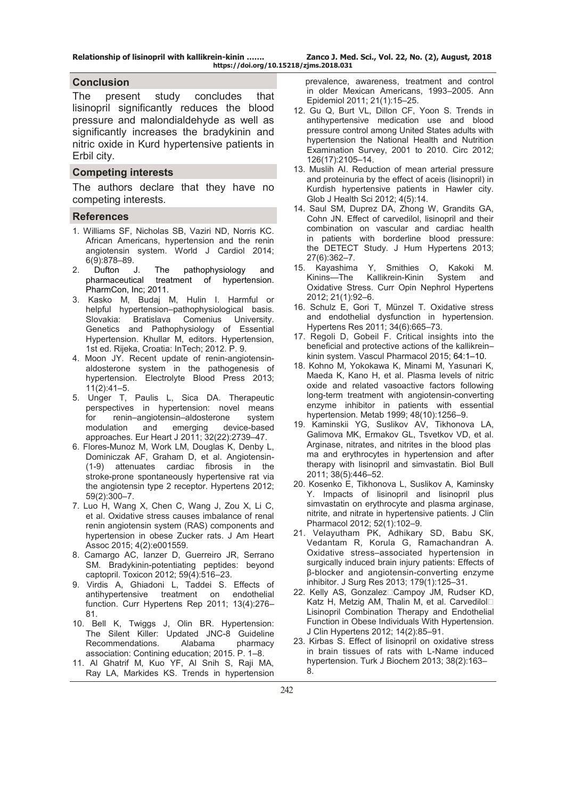**Relationship of lisinopril with kallikrein-kinin ……. Zanco J. Med. Sci., Vol. 22, No. (2), August, 2018 https://doi.org/10.15218/zjms.2018.031**

### **Conclusion**

The present study concludes that lisinopril significantly reduces the blood pressure and malondialdehyde as well as significantly increases the bradykinin and nitric oxide in Kurd hypertensive patients in Erbil city.

#### **Competing interests**

The authors declare that they have no competing interests.

#### **References**

- 1. Williams SF, Nicholas SB, Vaziri ND, Norris KC. African Americans, hypertension and the renin angiotensin system. World J Cardiol 2014; 6(9):878–89.
- 2. Dufton J. The pathophysiology and<br>
pharmaceutical treatment of hypertension. treatment of hypertension. PharmCon, Inc; 2011.
- 3. Kasko M, Budaj M, Hulin I. Harmful or helpful hypertension–pathophysiological basis. Slovakia: Bratislava Comenius University. Genetics and Pathophysiology of Essential Hypertension. Khullar M, editors. Hypertension, 1st ed. Rijeka, Croatia: InTech: 2012. P. 9.
- 4. Moon JY. Recent update of renin-angiotensinaldosterone system in the pathogenesis of hypertension. Electrolyte Blood Press 2013; 11(2):41–5.
- 5. Unger T, Paulis L, Sica DA. Therapeutic perspectives in hypertension: novel means for renin–angiotensin–aldosterone system<br>modulation and emerging device-based modulation and emerging device-based approaches. Eur Heart J 2011; 32(22):2739–47.
- 6. Flores-Munoz M, Work LM, Douglas K, Denby L, Dominiczak AF, Graham D, et al. Angiotensin- (1-9) attenuates cardiac fibrosis in the stroke-prone spontaneously hypertensive rat via the angiotensin type 2 receptor. Hypertens 2012; 59(2):300–7.
- 7. Luo H, Wang X, Chen C, Wang J, Zou X, Li C, et al. Oxidative stress causes imbalance of renal renin angiotensin system (RAS) components and hypertension in obese Zucker rats. J Am Heart Assoc 2015; 4(2):e001559.
- 8. Camargo AC, Ianzer D, Guerreiro JR, Serrano SM. Bradykinin-potentiating peptides: beyond captopril. Toxicon 2012; 59(4):516–23.
- 9. Virdis A, Ghiadoni L, Taddei S. Effects of antihypertensive treatment on endothelial function. Curr Hypertens Rep 2011; 13(4):276– 81.
- 10. Bell K, Twiggs J, Olin BR. Hypertension: The Silent Killer: Updated JNC-8 Guideline Recommendations. Alabama pharmacy association: Contining education; 2015. P. 1–8.
- 11. Al Ghatrif M, Kuo YF, Al Snih S, Raji MA, Ray LA, Markides KS. Trends in hypertension

 prevalence, awareness, treatment and control in older Mexican Americans, 1993–2005. Ann Epidemiol 2011; 21(1):15–25.

- 12. Gu Q, Burt VL, Dillon CF, Yoon S. Trends in antihypertensive medication use and blood pressure control among United States adults with hypertension the National Health and Nutrition Examination Survey, 2001 to 2010. Circ 2012; 126(17):2105–14.
- 13. Muslih AI. Reduction of mean arterial pressure and proteinuria by the effect of aceis (lisinopril) in Kurdish hypertensive patients in Hawler city. Glob J Health Sci 2012; 4(5):14.
- 14. Saul SM, Duprez DA, Zhong W, Grandits GA, Cohn JN. Effect of carvedilol, lisinopril and their combination on vascular and cardiac health in patients with borderline blood pressure: the DETECT Study. J Hum Hypertens 2013; 27(6):362–7.
- 15. Kayashima Y, Smithies O, Kakoki M. Kinins—The Kallikrein-Kinin System and Oxidative Stress. Curr Opin Nephrol Hypertens 2012; 21(1):92–6.
- 16. Schulz E, Gori T, Münzel T. Oxidative stress and endothelial dysfunction in hypertension. Hypertens Res 2011; 34(6):665–73.
- 17. Regoli D, Gobeil F. Critical insights into the beneficial and protective actions of the kallikrein– kinin system. Vascul Pharmacol 2015; 64:1–10.
- 18. Kohno M, Yokokawa K, Minami M, Yasunari K, Maeda K, Kano H, et al. Plasma levels of nitric oxide and related vasoactive factors following long-term treatment with angiotensin-converting enzyme inhibitor in patients with essential hypertension. Metab 1999; 48(10):1256–9.
- 19. Kaminskii YG, Suslikov AV, Tikhonova LA, Galimova MK, Ermakov GL, Tsvetkov VD, et al. Arginase, nitrates, and nitrites in the blood plas ma and erythrocytes in hypertension and after therapy with lisinopril and simvastatin. Biol Bull 2011; 38(5):446–52.
- 20. Kosenko E, Tikhonova L, Suslikov A, Kaminsky Y. Impacts of lisinopril and lisinopril plus simvastatin on erythrocyte and plasma arginase, nitrite, and nitrate in hypertensive patients. J Clin Pharmacol 2012; 52(1):102–9.
- 21. Velayutham PK, Adhikary SD, Babu SK, Vedantam R, Korula G, Ramachandran A. Oxidative stress–associated hypertension in surgically induced brain injury patients: Effects of β-blocker and angiotensin-converting enzyme inhibitor. J Surg Res 2013; 179(1):125–31.
- 22. Kelly AS, Gonzalez<sup>[Campoy JM, Rudser KD,</sup> Katz H, Metzig AM, Thalin M, et al. Carvedilol□ Lisinopril Combination Therapy and Endothelial Function in Obese Individuals With Hypertension. J Clin Hypertens 2012; 14(2):85–91.
- 23. Kirbas S. Effect of lisinopril on oxidative stress in brain tissues of rats with L-Name induced hypertension. Turk J Biochem 2013; 38(2):163– 8.